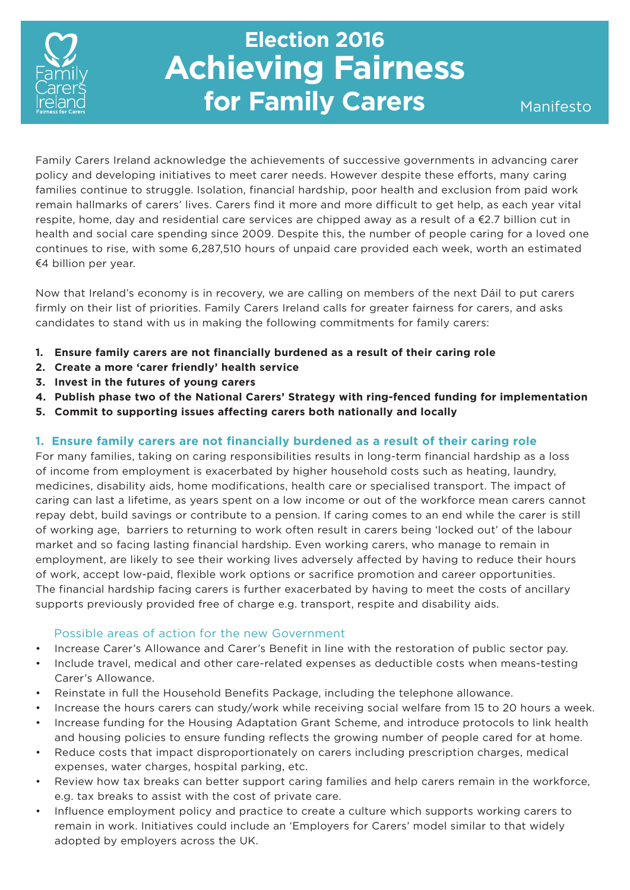

# **Election 2016 Achieving Fairness for Family Carers**

Family Carers Ireland acknowledge the achievements of successive governments in advancing carer policy and developing initiatives to meet carer needs. However despite these efforts, many caring families continue to struggle. Isolation, financial hardship, poor health and exclusion from paid work remain hallmarks of carers' lives. Carers find it more and more difficult to get help, as each year vital respite, home, day and residential care services are chipped away as a result of a €2.7 billion cut in health and social care spending since 2009. Despite this, the number of people caring for a loved one continues to rise, with some 6,287,510 hours of unpaid care provided each week, worth an estimated €4 billion per year.

Now that Ireland's economy is in recovery, we are calling on members of the next Dáil to put carers firmly on their list of priorities. Family Carers Ireland calls for greater fairness for carers, and asks candidates to stand with us in making the following commitments for family carers:

- **1. Ensure family carers are not financially burdened as a result of their caring role**
- **2. Create a more 'carer friendly' health service**
- **3. Invest in the futures of young carers**
- **4. Publish phase two of the National Carers' Strategy with ring-fenced funding for implementation**
- **5. Commit to supporting issues affecting carers both nationally and locally**

#### **1. Ensure family carers are not financially burdened as a result of their caring role**

For many families, taking on caring responsibilities results in long-term financial hardship as a loss of income from employment is exacerbated by higher household costs such as heating, laundry, medicines, disability aids, home modifications, health care or specialised transport. The impact of caring can last a lifetime, as years spent on a low income or out of the workforce mean carers cannot repay debt, build savings or contribute to a pension. If caring comes to an end while the carer is still of working age, barriers to returning to work often result in carers being 'locked out' of the labour market and so facing lasting financial hardship. Even working carers, who manage to remain in employment, are likely to see their working lives adversely affected by having to reduce their hours of work, accept low-paid, flexible work options or sacrifice promotion and career opportunities. The financial hardship facing carers is further exacerbated by having to meet the costs of ancillary supports previously provided free of charge e.g. transport, respite and disability aids.

### Possible areas of action for the new Government

- Increase Carer's Allowance and Carer's Benefit in line with the restoration of public sector pay.
- Include travel, medical and other care-related expenses as deductible costs when means-testing Carer's Allowance.
- Reinstate in full the Household Benefits Package, including the telephone allowance.
- Increase the hours carers can study/work while receiving social welfare from 15 to 20 hours a week.
- Increase funding for the Housing Adaptation Grant Scheme, and introduce protocols to link health and housing policies to ensure funding reflects the growing number of people cared for at home.
- Reduce costs that impact disproportionately on carers including prescription charges, medical expenses, water charges, hospital parking, etc.
- Review how tax breaks can better support caring families and help carers remain in the workforce, e.g. tax breaks to assist with the cost of private care.
- Influence employment policy and practice to create a culture which supports working carers to remain in work. Initiatives could include an 'Employers for Carers' model similar to that widely adopted by employers across the UK.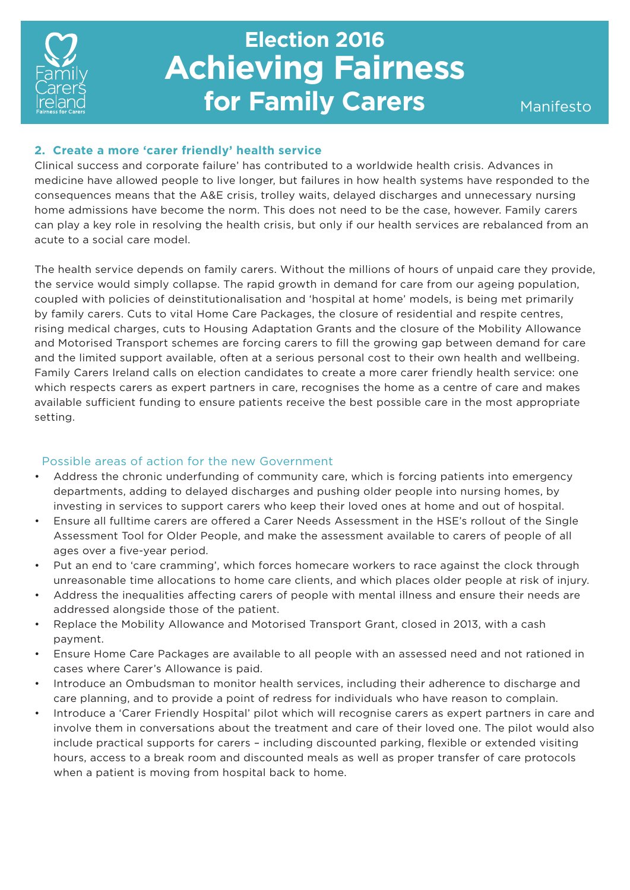

# **Election 2016 Achieving Fairness for Family Carers** Manifesto

### **2. Create a more 'carer friendly' health service**

Clinical success and corporate failure' has contributed to a worldwide health crisis. Advances in medicine have allowed people to live longer, but failures in how health systems have responded to the consequences means that the A&E crisis, trolley waits, delayed discharges and unnecessary nursing home admissions have become the norm. This does not need to be the case, however. Family carers can play a key role in resolving the health crisis, but only if our health services are rebalanced from an acute to a social care model.

The health service depends on family carers. Without the millions of hours of unpaid care they provide, the service would simply collapse. The rapid growth in demand for care from our ageing population, coupled with policies of deinstitutionalisation and 'hospital at home' models, is being met primarily by family carers. Cuts to vital Home Care Packages, the closure of residential and respite centres, rising medical charges, cuts to Housing Adaptation Grants and the closure of the Mobility Allowance and Motorised Transport schemes are forcing carers to fill the growing gap between demand for care and the limited support available, often at a serious personal cost to their own health and wellbeing. Family Carers Ireland calls on election candidates to create a more carer friendly health service: one which respects carers as expert partners in care, recognises the home as a centre of care and makes available sufficient funding to ensure patients receive the best possible care in the most appropriate setting.

### Possible areas of action for the new Government

- Address the chronic underfunding of community care, which is forcing patients into emergency departments, adding to delayed discharges and pushing older people into nursing homes, by investing in services to support carers who keep their loved ones at home and out of hospital.
- Ensure all fulltime carers are offered a Carer Needs Assessment in the HSE's rollout of the Single Assessment Tool for Older People, and make the assessment available to carers of people of all ages over a five-year period.
- Put an end to 'care cramming', which forces homecare workers to race against the clock through unreasonable time allocations to home care clients, and which places older people at risk of injury.
- Address the inequalities affecting carers of people with mental illness and ensure their needs are addressed alongside those of the patient.
- Replace the Mobility Allowance and Motorised Transport Grant, closed in 2013, with a cash payment.
- Ensure Home Care Packages are available to all people with an assessed need and not rationed in cases where Carer's Allowance is paid.
- Introduce an Ombudsman to monitor health services, including their adherence to discharge and care planning, and to provide a point of redress for individuals who have reason to complain.
- Introduce a 'Carer Friendly Hospital' pilot which will recognise carers as expert partners in care and involve them in conversations about the treatment and care of their loved one. The pilot would also include practical supports for carers – including discounted parking, flexible or extended visiting hours, access to a break room and discounted meals as well as proper transfer of care protocols when a patient is moving from hospital back to home.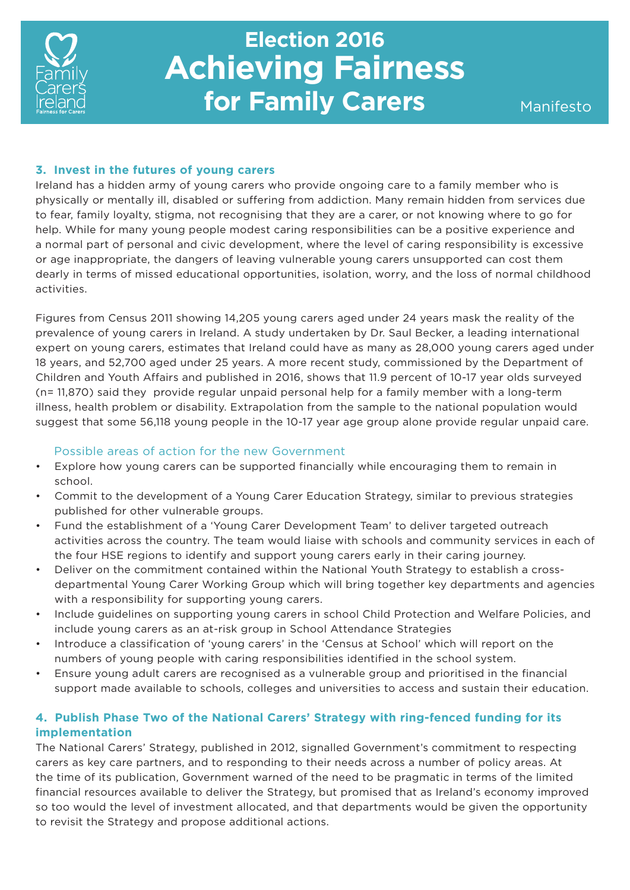

# **Election 2016 Achieving Fairness for Family Carers**

#### **3. Invest in the futures of young carers**

Ireland has a hidden army of young carers who provide ongoing care to a family member who is physically or mentally ill, disabled or suffering from addiction. Many remain hidden from services due to fear, family loyalty, stigma, not recognising that they are a carer, or not knowing where to go for help. While for many young people modest caring responsibilities can be a positive experience and a normal part of personal and civic development, where the level of caring responsibility is excessive or age inappropriate, the dangers of leaving vulnerable young carers unsupported can cost them dearly in terms of missed educational opportunities, isolation, worry, and the loss of normal childhood activities.

Figures from Census 2011 showing 14,205 young carers aged under 24 years mask the reality of the prevalence of young carers in Ireland. A study undertaken by Dr. Saul Becker, a leading international expert on young carers, estimates that Ireland could have as many as 28,000 young carers aged under 18 years, and 52,700 aged under 25 years. A more recent study, commissioned by the Department of Children and Youth Affairs and published in 2016, shows that 11.9 percent of 10-17 year olds surveyed (n= 11,870) said they provide regular unpaid personal help for a family member with a long-term illness, health problem or disability. Extrapolation from the sample to the national population would suggest that some 56,118 young people in the 10-17 year age group alone provide regular unpaid care.

#### Possible areas of action for the new Government

- Explore how young carers can be supported financially while encouraging them to remain in school.
- Commit to the development of a Young Carer Education Strategy, similar to previous strategies published for other vulnerable groups.
- Fund the establishment of a 'Young Carer Development Team' to deliver targeted outreach activities across the country. The team would liaise with schools and community services in each of the four HSE regions to identify and support young carers early in their caring journey.
- Deliver on the commitment contained within the National Youth Strategy to establish a crossdepartmental Young Carer Working Group which will bring together key departments and agencies with a responsibility for supporting young carers.
- Include guidelines on supporting young carers in school Child Protection and Welfare Policies, and include young carers as an at-risk group in School Attendance Strategies
- Introduce a classification of 'young carers' in the 'Census at School' which will report on the numbers of young people with caring responsibilities identified in the school system.
- Ensure young adult carers are recognised as a vulnerable group and prioritised in the financial support made available to schools, colleges and universities to access and sustain their education.

### **4. Publish Phase Two of the National Carers' Strategy with ring-fenced funding for its implementation**

The National Carers' Strategy, published in 2012, signalled Government's commitment to respecting carers as key care partners, and to responding to their needs across a number of policy areas. At the time of its publication, Government warned of the need to be pragmatic in terms of the limited financial resources available to deliver the Strategy, but promised that as Ireland's economy improved so too would the level of investment allocated, and that departments would be given the opportunity to revisit the Strategy and propose additional actions.